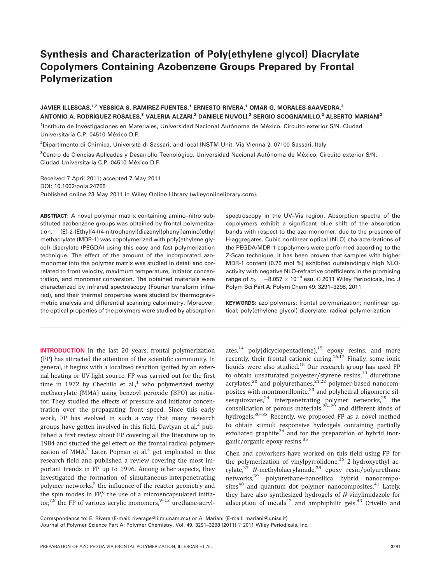# Synthesis and Characterization of Poly(ethylene glycol) Diacrylate Copolymers Containing Azobenzene Groups Prepared by Frontal Polymerization

# JAVIER ILLESCAS,<sup>1,2</sup> YESSICA S. RAMIREZ-FUENTES,<sup>1</sup> ERNESTO RIVERA,<sup>1</sup> OMAR G. MORALES-SAAVEDRA,<sup>3</sup> ANTONIO A. RODRÍGUEZ-ROSALES,<sup>3</sup> VALERIA ALZARI,<sup>2</sup> DANIELE NUVOLI,<sup>2</sup> SERGIO SCOGNAMILLO,<sup>2</sup> ALBERTO MARIANI<sup>2</sup>

<sup>1</sup>Instituto de Investigaciones en Materiales, Universidad Nacional Autónoma de México. Circuito exterior S/N. Ciudad Universitaria C.P. 04510 México D.F.

<sup>2</sup>Dipartimento di Chimica, Università di Sassari, and local INSTM Unit, Via Vienna 2, 07100 Sassari, Italy

<sup>3</sup>Centro de Ciencias Aplicadas y Desarrollo Tecnológico, Universidad Nacional Autónoma de México, Circuito exterior S/N. Ciudad Universitaria C.P. 04510 México D.F.

Received 7 April 2011; accepted 7 May 2011 DOI: 10.1002/pola.24765 Published online 23 May 2011 in Wiley Online Library (wileyonlinelibrary.com).

ABSTRACT: A novel polymer matrix containing amino–nitro substituted azobenzene groups was obtained by frontal polymerization. (E)-2-(Ethyl(4-((4-nitrophenyl)diazenyl)phenyl)amino)ethyl methacrylate (MDR-1) was copolymerized with poly(ethylene glycol) diacrylate (PEGDA) using this easy and fast polymerization technique. The effect of the amount of the incorporated azomonomer into the polymer matrix was studied in detail and correlated to front velocity, maximum temperature, initiator concentration, and monomer conversion. The obtained materials were characterized by infrared spectroscopy (Fourier transform infrared), and their thermal properties were studied by thermogravimetric analysis and differential scanning calorimetry. Moreover, the optical properties of the polymers were studied by absorption

INTRODUCTION In the last 20 years, frontal polymerization (FP) has attracted the attention of the scientific community. In general, it begins with a localized reaction ignited by an external heating or UV-light source. FP was carried out for the first time in 1972 by Chechilo et al.,<sup>1</sup> who polymerized methyl methacrylate (MMA) using benzoyl peroxide (BPO) as initiator. They studied the effects of pressure and initiator concentration over the propagating front speed. Since this early work, FP has evolved in such a way that many research groups have gotten involved in this field. Davtyan et al. $<sup>2</sup>$  pub-</sup> lished a first review about FP covering all the literature up to 1984 and studied the gel effect on the frontal radical polymerization of MMA. $3$  Later, Pojman et al. $4$  got implicated in this research field and published a review covering the most important trends in FP up to 1996. Among other aspects, they investigated the formation of simultaneous-interpenetrating polymer networks,<sup>5</sup> the influence of the reactor geometry and the spin modes in  $FP<sub>i</sub>$ <sup>6</sup> the use of a microencapsulated initia $tor<sup>7,8</sup>$  the FP of various acrylic monomers,  $9-13$  urethane-acryl-

spectroscopy in the UV–Vis region. Absorption spectra of the copolymers exhibit a significant blue shift of the absorption bands with respect to the azo-monomer, due to the presence of H-aggregates. Cubic nonlinear optical (NLO) characterizations of the PEGDA/MDR-1 copolymers were performed according to the Z-Scan technique. It has been proven that samples with higher MDR-1 content (0.75 mol %) exhibited outstandingly high NLOactivity with negative NLO-refractive coefficients in the promising range of  $n_2 = -8.057 \times 10^{-4}$  esu. © 2011 Wiley Periodicals, Inc. J Polym Sci Part A: Polym Chem 49: 3291–3298, 2011

KEYWORDS: azo polymers; frontal polymerization; nonlinear optical; poly(ethylene glycol) diacrylate; radical polymerization

ates,<sup>14</sup> poly(dicyclopentadiene),<sup>15</sup> epoxy resins, and more recently, their frontal cationic curing.<sup>16,17</sup> Finally, some ionic liquids were also studied.<sup>18</sup> Our research group has used FP to obtain unsaturated polyester/styrene resins.<sup>19</sup> diurethane acrylates,<sup>20</sup> and polyurethanes,<sup>21,22</sup> polymer-based nanocomposites with montmorillonite, $23$  and polyhedral oligomeric silsesquioxanes,  $24$  interpenetrating polymer networks,  $25$  the consolidation of porous materials, $26-29$  and different kinds of hydrogels.<sup>30-33</sup> Recently, we proposed FP as a novel method to obtain stimuli responsive hydrogels containing partially exfoliated graphite<sup>34</sup> and for the preparation of hybrid inorganic/organic epoxy resins.<sup>35</sup>

Chen and coworkers have worked on this field using FP for the polymerization of vinylpyrrolidone, $36$  2-hydroxyethyl acrylate,37 N-methylolacrylamide,<sup>38</sup> epoxy resin/polyurethane networks,39 polyurethane-nanosilica hybrid nanocomposites $40$  and quantum dot polymer nanocomposites. $41$  Lately, they have also synthesized hydrogels of N-vinylimidazole for adsorption of metals $42$  and amphiphilic gels. $43$  Crivello and

Correspondence to: E. Rivera (E-mail: riverage@iim.unam.mx) or A. Mariani (E-mail: mariani@uniss.it)

Journal of Polymer Science Part A: Polymer Chemistry, Vol. 49, 3291-3298 (2011) @ 2011 Wiley Periodicals, Inc.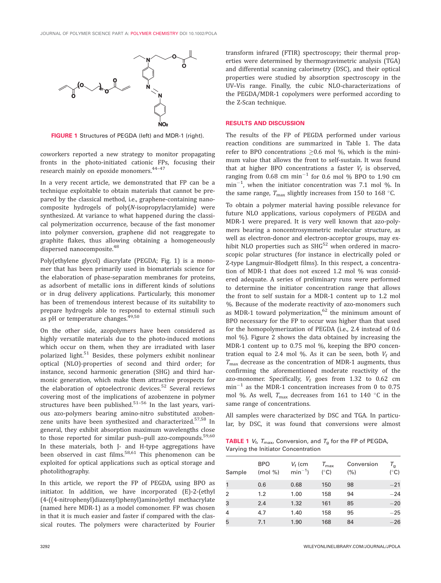

FIGURE 1 Structures of PEGDA (left) and MDR-1 (right).

coworkers reported a new strategy to monitor propagating fronts in the photo-initiated cationic FPs, focusing their research mainly on epoxide monomers.<sup>44-47</sup>

In a very recent article, we demonstrated that FP can be a technique exploitable to obtain materials that cannot be prepared by the classical method, i.e., graphene-containing nanocomposite hydrogels of poly(N-isopropylacrylamide) were synthesized. At variance to what happened during the classical polymerization occurrence, because of the fast monomer into polymer conversion, graphene did not reaggregate to graphite flakes, thus allowing obtaining a homogeneously dispersed nanocomposite.<sup>48</sup>

Poly(ethylene glycol) diacrylate (PEGDA; Fig. 1) is a monomer that has been primarily used in biomaterials science for the elaboration of phase-separation membranes for proteins, as adsorbent of metallic ions in different kinds of solutions or in drug delivery applications. Particularly, this monomer has been of tremendous interest because of its suitability to prepare hydrogels able to respond to external stimuli such as pH or temperature changes.<sup>49,50</sup>

On the other side, azopolymers have been considered as highly versatile materials due to the photo-induced motions which occur on them, when they are irradiated with laser polarized light.<sup>51</sup> Besides, these polymers exhibit nonlinear optical (NLO)-properties of second and third order; for instance, second harmonic generation (SHG) and third harmonic generation, which make them attractive prospects for the elaboration of optoelectronic devices.<sup>52</sup> Several reviews covering most of the implications of azobenzene in polymer structures have been published. $51-56$  In the last years, various azo-polymers bearing amino-nitro substituted azobenzene units have been synthesized and characterized.<sup>57,58</sup> In general, they exhibit absorption maximum wavelengths close to those reported for similar push-pull azo-compounds.<sup>59,60</sup> In these materials, both J- and H-type aggregations have been observed in cast films.<sup>58,61</sup> This phenomenon can be exploited for optical applications such as optical storage and photolithography.

In this article, we report the FP of PEGDA, using BPO as initiator. In addition, we have incorporated (E)-2-(ethyl (4-((4-nitrophenyl)diazenyl)phenyl)amino)ethyl methacrylate (named here MDR-1) as a model comonomer. FP was chosen in that it is much easier and faster if compared with the classical routes. The polymers were characterized by Fourier

transform infrared (FTIR) spectroscopy; their thermal properties were determined by thermogravimetric analysis (TGA) and differential scanning calorimetry (DSC), and their optical properties were studied by absorption spectroscopy in the UV–Vis range. Finally, the cubic NLO-characterizations of the PEGDA/MDR-1 copolymers were performed according to the Z-Scan technique.

#### RESULTS AND DISCUSSION

The results of the FP of PEGDA performed under various reaction conditions are summarized in Table 1. The data refer to BPO concentrations  $>0.6$  mol %, which is the minimum value that allows the front to self-sustain. It was found that at higher BPO concentrations a faster  $V_f$  is observed, ranging from 0.68 cm  $min^{-1}$  for 0.6 mol % BPO to 1.90 cm  $\text{min}^{-1}$ , when the initiator concentration was 7.1 mol %. In the same range,  $T_{\text{max}}$  slightly increases from 150 to 168 °C.

To obtain a polymer material having possible relevance for future NLO applications, various copolymers of PEGDA and MDR-1 were prepared. It is very well known that azo-polymers bearing a noncentrosymmetric molecular structure, as well as electron-donor and electron-acceptor groups, may exhibit NLO properties such as  $SHG<sup>52</sup>$  when ordered in macroscopic polar structures (for instance in electrically poled or Z-type Langmuir-Blodgett films). In this respect, a concentration of MDR-1 that does not exceed 1.2 mol % was considered adequate. A series of preliminary runs were performed to determine the initiator concentration range that allows the front to self sustain for a MDR-1 content up to 1.2 mol %. Because of the moderate reactivity of azo-monomers such as MDR-1 toward polymerization, $62$  the minimum amount of BPO necessary for the FP to occur was higher than that used for the homopolymerization of PEGDA (i.e., 2.4 instead of 0.6 mol %). Figure 2 shows the data obtained by increasing the MDR-1 content up to 0.75 mol %, keeping the BPO concentration equal to 2.4 mol %. As it can be seen, both  $V_f$  and  $T_{\text{max}}$  decrease as the concentration of MDR-1 augments, thus confirming the aforementioned moderate reactivity of the azo-monomer. Specifically,  $V_f$  goes from 1.32 to 0.62 cm  $min^{-1}$  as the MDR-1 concentration increases from 0 to 0.75 mol %. As well,  $T_{\text{max}}$  decreases from 161 to 140 °C in the same range of concentrations.

All samples were characterized by DSC and TGA. In particular, by DSC, it was found that conversions were almost

**TABLE 1**  $V_f$ ,  $T_{\text{max}}$ , Conversion, and  $T_g$  for the FP of PEGDA, Varying the Initiator Concentration

| Sample         | <b>BPO</b><br>$(mod \% )$ | $V_f$ (cm<br>$min^{-1}$ ) | $T_{\rm max}$<br>$(^{\circ}C)$ | Conversion<br>(%) | $\tau_{\text{\tiny g}}$<br>$(^{\circ}C)$ |
|----------------|---------------------------|---------------------------|--------------------------------|-------------------|------------------------------------------|
|                | 0.6                       | 0.68                      | 150                            | 98                | $-21$                                    |
| $\overline{2}$ | 1.2                       | 1.00                      | 158                            | 94                | $-24$                                    |
| 3              | 2.4                       | 1.32                      | 161                            | 85                | $-20$                                    |
| 4              | 4.7                       | 1.40                      | 158                            | 95                | $-25$                                    |
| 5              | 7.1                       | 1.90                      | 168                            | 84                | $-26$                                    |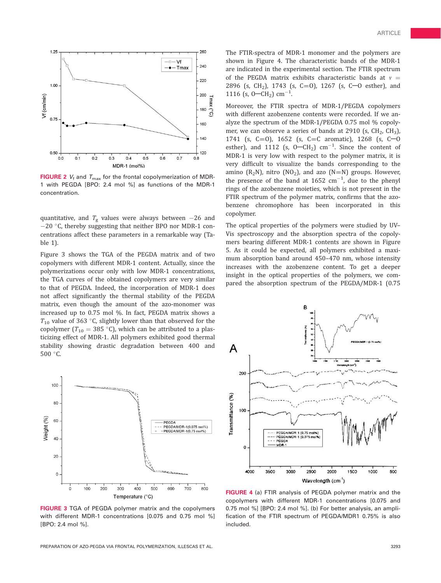



**FIGURE 2**  $V_f$  and  $T_{\text{max}}$  for the frontal copolymerization of MDR-1 with PEGDA [BPO: 2.4 mol %] as functions of the MDR-1 concentration.

quantitative, and  $T_g$  values were always between  $-26$  and  $-20$  °C, thereby suggesting that neither BPO nor MDR-1 concentrations affect these parameters in a remarkable way (Table 1).

Figure 3 shows the TGA of the PEGDA matrix and of two copolymers with different MDR-1 content. Actually, since the polymerizations occur only with low MDR-1 concentrations, the TGA curves of the obtained copolymers are very similar to that of PEGDA. Indeed, the incorporation of MDR-1 does not affect significantly the thermal stability of the PEGDA matrix, even though the amount of the azo-monomer was increased up to 0.75 mol %. In fact, PEGDA matrix shows a  $T_{10}$  value of 363 °C, slightly lower than that observed for the copolymer ( $T_{10} = 385$  °C), which can be attributed to a plasticizing effect of MDR-1. All polymers exhibited good thermal stability showing drastic degradation between 400 and  $500 °C$ .



FIGURE 3 TGA of PEGDA polymer matrix and the copolymers with different MDR-1 concentrations [0.075 and 0.75 mol %] [BPO: 2.4 mol %].

The FTIR-spectra of MDR-1 monomer and the polymers are shown in Figure 4. The characteristic bands of the MDR-1 are indicated in the experimental section. The FTIR spectrum of the PEGDA matrix exhibits characteristic bands at  $v =$ 2896 (s, CH<sub>2</sub>), 1743 (s, C=0), 1267 (s, C-0 esther), and 1116 (s,  $0$ –CH<sub>2</sub>) cm<sup>-1</sup>. .

Moreover, the FTIR spectra of MDR-1/PEGDA copolymers with different azobenzene contents were recorded. If we analyze the spectrum of the MDR-1/PEGDA 0.75 mol % copolymer, we can observe a series of bands at 2910 (s,  $CH<sub>2</sub>$ ,  $CH<sub>3</sub>$ ), 1741 (s, C=0), 1652 (s, C=C aromatic), 1268 (s, C-0 esther), and 1112 (s,  $0$ —CH<sub>2</sub>) cm<sup>-1</sup>. Since the content of MDR-1 is very low with respect to the polymer matrix, it is very difficult to visualize the bands corresponding to the amino ( $R_2N$ ), nitro ( $N_2$ ), and azo ( $N=N$ ) groups. However, the presence of the band at 1652  $\text{cm}^{-1}$ , due to the phenyl rings of the azobenzene moieties, which is not present in the FTIR spectrum of the polymer matrix, confirms that the azobenzene chromophore has been incorporated in this copolymer.

The optical properties of the polymers were studied by UV– Vis spectroscopy and the absorption spectra of the copolymers bearing different MDR-1 contents are shown in Figure 5. As it could be expected, all polymers exhibited a maximum absorption band around 450–470 nm, whose intensity increases with the azobenzene content. To get a deeper insight in the optical properties of the polymers, we compared the absorption spectrum of the PEGDA/MDR-1 (0.75



FIGURE 4 (a) FTIR analysis of PEGDA polymer matrix and the copolymers with different MDR-1 concentrations [0.075 and 0.75 mol %] [BPO: 2.4 mol %]. (b) For better analysis, an amplification of the FTIR spectrum of PEGDA/MDR1 0.75% is also included.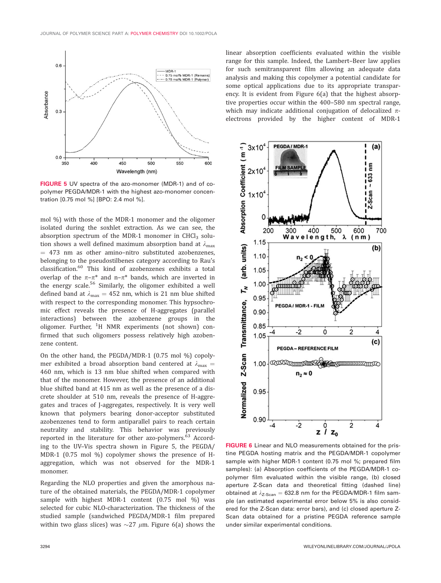

FIGURE 5 UV spectra of the azo-monomer (MDR-1) and of copolymer PEGDA/MDR-1 with the highest azo-monomer concentration [0.75 mol %] [BPO: 2.4 mol %].

mol %) with those of the MDR-1 monomer and the oligomer isolated during the soxhlet extraction. As we can see, the absorption spectrum of the MDR-1 monomer in CHCl<sub>3</sub> solution shows a well defined maximum absorption band at  $\lambda_{\text{max}}$  $=$  473 nm as other amino-nitro substituted azobenzenes, belonging to the pseudostilbenes category according to Rau's classification.<sup>60</sup> This kind of azobenzenes exhibits a total overlap of the  $\pi-\pi^*$  and n– $\pi^*$  bands, which are inverted in the energy scale.<sup>56</sup> Similarly, the oligomer exhibited a well defined band at  $\lambda_{\text{max}} = 452$  nm, which is 21 nm blue shifted with respect to the corresponding monomer. This hypsochromic effect reveals the presence of H-aggregates (parallel interactions) between the azobenzene groups in the oligomer. Further, <sup>1</sup>H NMR experiments (not shown) confirmed that such oligomers possess relatively high azobenzene content.

On the other hand, the PEGDA/MDR-1 (0.75 mol %) copolymer exhibited a broad absorption band centered at  $\lambda_{\text{max}} =$ 460 nm, which is 13 nm blue shifted when compared with that of the monomer. However, the presence of an additional blue shifted band at 415 nm as well as the presence of a discrete shoulder at 510 nm, reveals the presence of H-aggregates and traces of J-aggregates, respectively. It is very well known that polymers bearing donor-acceptor substituted azobenzenes tend to form antiparallel pairs to reach certain neutrality and stability. This behavior was previously reported in the literature for other azo-polymers.<sup>63</sup> According to the UV–Vis spectra shown in Figure 5, the PEGDA/ MDR-1 (0.75 mol %) copolymer shows the presence of Haggregation, which was not observed for the MDR-1 monomer.

Regarding the NLO properties and given the amorphous nature of the obtained materials, the PEGDA/MDR-1 copolymer sample with highest MDR-1 content (0.75 mol %) was selected for cubic NLO-characterization. The thickness of the studied sample (sandwiched PEGDA/MDR-1 film prepared within two glass slices) was  $\sim$ 27  $\mu$ m. Figure 6(a) shows the linear absorption coefficients evaluated within the visible range for this sample. Indeed, the Lambert–Beer law applies for such semitransparent film allowing an adequate data analysis and making this copolymer a potential candidate for some optical applications due to its appropriate transparency. It is evident from Figure 6(a) that the highest absorptive properties occur within the 400–580 nm spectral range, which may indicate additional conjugation of delocalized  $\pi$ electrons provided by the higher content of MDR-1



FIGURE 6 Linear and NLO measurements obtained for the pristine PEGDA hosting matrix and the PEGDA/MDR-1 copolymer sample with higher MDR-1 content (0.75 mol %; prepared film samples): (a) Absorption coefficients of the PEGDA/MDR-1 copolymer film evaluated within the visible range, (b) closed aperture Z-Scan data and theoretical fitting (dashed line) obtained at  $\lambda_{Z\text{-Scan}} = 632.8$  nm for the PEGDA/MDR-1 film sample (an estimated experimental error below 5% is also considered for the Z-Scan data: error bars), and (c) closed aperture Z-Scan data obtained for a pristine PEGDA reference sample under similar experimental conditions.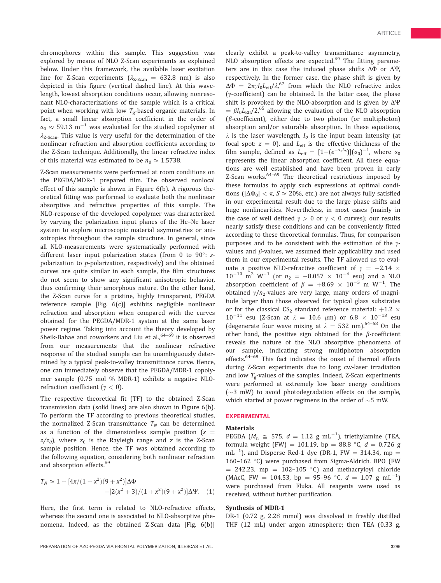chromophores within this sample. This suggestion was explored by means of NLO Z-Scan experiments as explained below. Under this framework, the available laser excitation line for Z-Scan experiments ( $\lambda_{Z\text{-Scan}}$  = 632.8 nm) is also depicted in this figure (vertical dashed line). At this wavelength, lowest absorption conditions occur, allowing nonresonant NLO-characterizations of the sample which is a critical point when working with low  $T_g$ -based organic materials. In fact, a small linear absorption coefficient in the order of  $\alpha_0 \approx 59.13 \text{ m}^{-1}$  was evaluated for the studied copolymer at  $\lambda_{Z-Scan}$ . This value is very useful for the determination of the nonlinear refraction and absorption coefficients according to the Z-Scan technique. Additionally, the linear refractive index of this material was estimated to be  $n_0 \approx 1.5738$ .

Z-Scan measurements were performed at room conditions on the PEGDA/MDR-1 prepared film. The observed nonlocal effect of this sample is shown in Figure 6(b). A rigorous theoretical fitting was performed to evaluate both the nonlinear absorptive and refractive properties of this sample. The NLO-response of the developed copolymer was characterized by varying the polarization input planes of the He–Ne laser system to explore microscopic material asymmetries or anisotropies throughout the sample structure. In general, since all NLO-measurements were systematically performed with different laser input polarization states (from 0 to 90 $^{\circ}$ : spolarization to p-polarization, respectively) and the obtained curves are quite similar in each sample, the film structures do not seem to show any significant anisotropic behavior, thus confirming their amorphous nature. On the other hand, the Z-Scan curve for a pristine, highly transparent, PEGDA reference sample [Fig. 6(c)] exhibits negligible nonlinear refraction and absorption when compared with the curves obtained for the PEGDA/MDR-1 system at the same laser power regime. Taking into account the theory developed by Sheik-Bahae and coworkers and Liu et al., <sup>64–69</sup> it is observed from our measurements that the nonlinear refractive response of the studied sample can be unambiguously determined by a typical peak-to-valley transmittance curve. Hence, one can immediately observe that the PEGDA/MDR-1 copolymer sample (0.75 mol % MDR-1) exhibits a negative NLOrefraction coefficient ( $\gamma$  < 0).

The respective theoretical fit (TF) to the obtained Z-Scan transmission data (solid lines) are also shown in Figure 6(b). To perform the TF according to previous theoretical studies, the normalized Z-Scan transmittance  $T_N$  can be determined as a function of the dimensionless sample position ( $x =$  $z/z<sub>0</sub>$ ), where  $z<sub>0</sub>$  is the Rayleigh range and z is the Z-Scan sample position. Hence, the TF was obtained according to the following equation, considering both nonlinear refraction and absorption effects.<sup>69</sup>

$$
T_N \approx 1 + [4x/(1+x^2)(9+x^2)]\Delta\Phi
$$
  
-[2(x<sup>2</sup> + 3)/(1+x<sup>2</sup>)(9+x<sup>2</sup>)] $\Delta\Psi$ . (1)

Here, the first term is related to NLO-refractive effects, whereas the second one is associated to NLO-absorptive phenomena. Indeed, as the obtained Z-Scan data [Fig. 6(b)]

clearly exhibit a peak-to-valley transmittance asymmetry, NLO absorption effects are expected.<sup>69</sup> The fitting parameters are in this case the induced phase shifts  $\Delta\Phi$  or  $\Delta\Psi$ , respectively. In the former case, the phase shift is given by  $\Delta \Phi = 2\pi \gamma I_0 L_{\text{eff}} / \lambda$ ,<sup>67</sup> from which the NLO refractive index ( $y$ -coefficient) can be obtained. In the latter case, the phase shift is provoked by the NLO-absorption and is given by  $\Delta \Psi$  $= \beta I_0 L_{\text{Eff}}/2,^{65}$  allowing the evaluation of the NLO absorption  $(\beta$ -coefficient), either due to two photon (or multiphoton) absorption and/or saturable absorption. In these equations,  $\lambda$  is the laser wavelength,  $I_0$  is the input beam intensity (at focal spot:  $z = 0$ ), and  $L_{\text{eff}}$  is the effective thickness of the film sample, defined as  $L_{\text{eff}} = [1 - (e^{-\alpha_0 L_s})](\alpha_0)^{-1}$ , where  $\alpha_0$ represents the linear absorption coefficient. All these equations are well established and have been proven in early Z-Scan works.64–69 The theoretical restrictions imposed by these formulas to apply such expressions at optimal conditions ( $|\Delta \Phi_0| < \pi$ ,  $S \approx 20\%$ , etc.) are not always fully satisfied in our experimental result due to the large phase shifts and huge nonlinearities. Nevertheless, in most cases (mainly in the case of well defined  $\gamma > 0$  or  $\gamma < 0$  curves); our results nearly satisfy these conditions and can be conveniently fitted according to these theoretical formulas. Thus, for comparison purposes and to be consistent with the estimation of the  $\gamma$ values and  $\beta$ -values, we assumed their applicability and used them in our experimental results. The TF allowed us to evaluate a positive NLO-refractive coefficient of  $\gamma = -2.14 \times 10^{-10}$  $10^{-10}$  m<sup>2</sup> W<sup>-1</sup> (or  $n_2 = -8.057 \times 10^{-4}$  esu) and a NLO absorption coefficient of  $\beta = +8.69 \times 10^{-5}$  m W<sup>-1</sup>. The obtained  $\gamma/n_2$ -values are very large, many orders of magnitude larger than those observed for typical glass substrates or for the classical  $CS_2$  standard reference material:  $+1.2 \times$  $10^{-11}$  esu (Z-Scan at  $\lambda = 10.6$   $\mu$ m) or  $6.8 \times 10^{-13}$  esu (degenerate four wave mixing at  $\lambda = 532$  nm).<sup>64-68</sup> On the other hand, the positive sign obtained for the  $\beta$ -coefficient reveals the nature of the NLO absorptive phenomena of our sample, indicating strong multiphoton absorption effects.<sup>64-69</sup> This fact indicates the onset of thermal effects during Z-Scan experiments due to long cw-laser irradiation and low  $T_g$ -values of the samples. Indeed, Z-Scan experiments were performed at extremely low laser energy conditions  $(\sim 3 \text{ mW})$  to avoid photodegradation effects on the sample, which started at power regimens in the order of  $\sim$ 5 mW.

# EXPERIMENTAL

#### **Materials**

PEGDA ( $M_n \cong 575$ ,  $d = 1.12$  g mL<sup>-1</sup>), triethylamine (TEA, formula weight (FW) = 101.19, bp = 88.8 °C,  $d = 0.726$  g  $\text{mL}^{-1}$ ), and Disperse Red-1 dye (DR-1, FW = 314.34, mp = 160-162 °C) were purchased from Sigma-Aldrich. BPO (FW  $=$  242.23, mp  $=$  102–105 °C) and methacryloyl chloride (MAcC, FW = 104.53, bp = 95-96 °C,  $d = 1.07$  g mL<sup>-1</sup>) were purchased from Fluka. All reagents were used as received, without further purification.

# Synthesis of MDR-1

DR-1 (0.72 g, 2.28 mmol) was dissolved in freshly distilled THF (12 mL) under argon atmosphere; then TEA (0.33 g,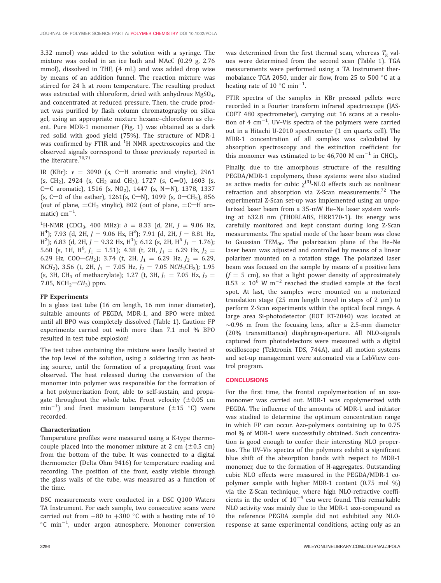3.32 mmol) was added to the solution with a syringe. The mixture was cooled in an ice bath and MAcC (0.29 g, 2.76 mmol), dissolved in THF, (4 mL) and was added drop wise by means of an addition funnel. The reaction mixture was stirred for 24 h at room temperature. The resulting product was extracted with chloroform, dried with anhydrous MgSO<sub>4</sub>, and concentrated at reduced pressure. Then, the crude product was purified by flash column chromatography on silica gel, using an appropriate mixture hexane–chloroform as eluent. Pure MDR-1 monomer (Fig. 1) was obtained as a dark red solid with good yield (75%). The structure of MDR-1 was confirmed by FTIR and  $^{1}$ H NMR spectroscopies and the observed signals correspond to those previously reported in the literature.<sup>70,71</sup>

IR (KBr):  $v = 3090$  (s, C-H aromatic and vinylic), 2961 (s, CH<sub>2</sub>), 2924 (s, CH<sub>2</sub> and CH<sub>3</sub>), 1727 (s, C=0), 1603 (s, C=C aromatic), 1516 (s, NO<sub>2</sub>), 1447 (s, N=N), 1378, 1337 (s, C-O of the esther),  $1261(s, C-N)$ ,  $1099(s, O-CH<sub>2</sub>)$ , 856 (out of plane,  $=CH_2$  vinylic), 802 (out of plane,  $=$ C $-H$  aromatic)  $cm^{-1}$ . .

<sup>1</sup>H-NMR (CDCl<sub>3</sub>, 400 MHz):  $\delta = 8.33$  (d, 2H,  $J = 9.06$  Hz,  $H_1^4$ ); 7.93 (d, 2H,  $J = 9.06$  Hz,  $H_2^3$ ); 7.91 (d, 2H,  $J = 8.81$  Hz,  $\text{H}^2$ ); 6.83 (d, 2H, J = 9.32 Hz, H<sup>1</sup>); 6.12 (s, 2H, H<sup>5</sup> J<sub>1</sub> = 1.76); 5.60 (s, 1H,  $H^6$ ,  $J_1 = 1.51$ ); 4.38 (t, 2H,  $J_1 = 6.29$  Hz,  $J_2 =$ 6.29 Hz, COO- $CH_2$ ); 3.74 (t, 2H,  $J_1 = 6.29$  Hz,  $J_2 = 6.29$ , NCH<sub>2</sub>), 3.56 (t, 2H,  $J_1 = 7.05$  Hz,  $J_2 = 7.05$  NCH<sub>2</sub>CH<sub>3</sub>); 1.95 (s, 3H, CH<sub>3</sub> of methacrylate); 1.27 (t, 3H,  $J_1 = 7.05$  Hz,  $J_2 =$ 7.05, NCH<sub>2</sub> $-CH_3$ ) ppm.

## FP Experiments

In a glass test tube (16 cm length, 16 mm inner diameter), suitable amounts of PEGDA, MDR-1, and BPO were mixed until all BPO was completely dissolved (Table 1). Caution: FP experiments carried out with more than 7.1 mol % BPO resulted in test tube explosion!

The test tubes containing the mixture were locally heated at the top level of the solution, using a soldering iron as heating source, until the formation of a propagating front was observed. The heat released during the conversion of the monomer into polymer was responsible for the formation of a hot polymerization front, able to self-sustain, and propagate throughout the whole tube. Front velocity  $(\pm 0.05 \text{ cm})$  $\text{min}^{-1}$ ) and front maximum temperature ( $\pm 15$  °C) were recorded.

### Characterization

Temperature profiles were measured using a K-type thermocouple placed into the monomer mixture at 2 cm  $(\pm 0.5 \text{ cm})$ from the bottom of the tube. It was connected to a digital thermometer (Delta Ohm 9416) for temperature reading and recording. The position of the front, easily visible through the glass walls of the tube, was measured as a function of the time.

DSC measurements were conducted in a DSC Q100 Waters TA Instrument. For each sample, two consecutive scans were carried out from  $-80$  to  $+300$  °C with a heating rate of 10  $\rm ^{\circ}C$  min<sup>-1</sup>, under argon atmosphere. Monomer conversion

was determined from the first thermal scan, whereas  $T_{\rm g}$  values were determined from the second scan (Table 1). TGA measurements were performed using a TA Instrument thermobalance TGA 2050, under air flow, from 25 to 500  $\,^{\circ}$ C at a heating rate of 10  $^{\circ}$ C min<sup>-1</sup>. .

FTIR spectra of the samples in KBr pressed pellets were recorded in a Fourier transform infrared spectroscope (JAS-COFT 480 spectrometer), carrying out 16 scans at a resolution of 4  $\text{cm}^{-1}$ . UV-Vis spectra of the polymers were carried out in a Hitachi U-2010 spectrometer (1 cm quartz cell). The MDR-1 concentration of all samples was calculated by absorption spectroscopy and the extinction coefficient for this monomer was estimated to be 46,700 M cm<sup>-1</sup> in CHCl<sub>3</sub>.

Finally, due to the amorphous structure of the resulting PEGDA/MDR-1 copolymers, these systems were also studied as active media for cubic  $\chi$ <sup>(3)</sup>-NLO effects such as nonlinear refraction and absorption via Z-Scan measurements.<sup>72</sup> The experimental Z-Scan set-up was implemented using an unpolarized laser beam from a 35-mW He–Ne laser system working at 632.8 nm (THORLABS, HRR170-1). Its energy was carefully monitored and kept constant during long Z-Scan measurements. The spatial mode of the laser beam was close to Gaussian  $TEM_{00}$ . The polarization plane of the He–Ne laser beam was adjusted and controlled by means of a linear polarizer mounted on a rotation stage. The polarized laser beam was focused on the sample by means of a positive lens  $(f = 5$  cm), so that a light power density of approximately  $8.53 \times 10^6$  W m<sup>-2</sup> reached the studied sample at the focal spot. At last, the samples were mounted on a motorized translation stage (25 mm length travel in steps of 2  $\mu$ m) to perform Z-Scan experiments within the optical focal range. A large area Si-photodetector (EOT ET-2040) was located at  $\sim$ 0.96 m from the focusing lens, after a 2.5-mm diameter (20% transmittance) diaphragm-aperture. All NLO-signals captured from photodetectors were measured with a digital oscilloscope (Tektronix TDS, 744A), and all motion systems and set-up management were automated via a LabView control program.

#### **CONCLUSIONS**

For the first time, the frontal copolymerization of an azomonomer was carried out. MDR-1 was copolymerized with PEGDA. The influence of the amounts of MDR-1 and initiator was studied to determine the optimum concentration range in which FP can occur. Azo-polymers containing up to 0.75 mol % of MDR-1 were successfully obtained. Such concentration is good enough to confer their interesting NLO properties. The UV–Vis spectra of the polymers exhibit a significant blue shift of the absorption bands with respect to MDR-1 monomer, due to the formation of H-aggregates. Outstanding cubic NLO effects were measured in the PEGDA/MDR-1 copolymer sample with higher MDR-1 content (0.75 mol %) via the Z-Scan technique, where high NLO-refractive coefficients in the order of  $10^{-4}$  esu were found. This remarkable NLO activity was mainly due to the MDR-1 azo-compound as the reference PEGDA sample did not exhibited any NLOresponse at same experimental conditions, acting only as an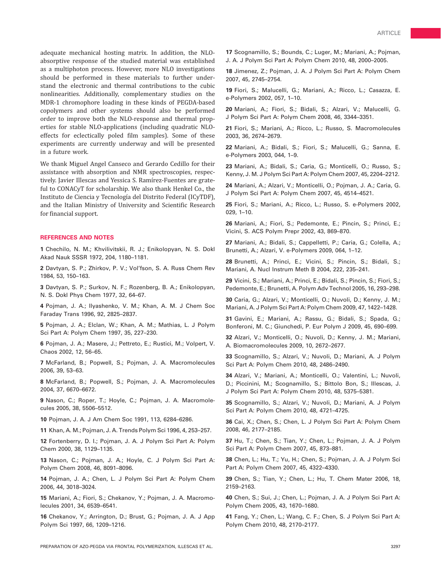adequate mechanical hosting matrix. In addition, the NLOabsorptive response of the studied material was established as a multiphoton process. However, more NLO investigations should be performed in these materials to further understand the electronic and thermal contributions to the cubic nonlinearities. Additionally, complementary studies on the MDR-1 chromophore loading in these kinds of PEGDA-based copolymers and other systems should also be performed order to improve both the NLO-response and thermal properties for stable NLO-applications (including quadratic NLOeffects for eclectically poled film samples). Some of these experiments are currently underway and will be presented in a future work.

We thank Miguel Angel Canseco and Gerardo Cedillo for their assistance with absorption and NMR spectroscopies, respectively. Javier Illescas and Yessica S. Ramírez-Fuentes are grateful to CONACyT for scholarship. We also thank Henkel Co., the Instituto de Ciencia y Tecnología del Distrito Federal (ICyTDF), and the Italian Ministry of University and Scientific Research for financial support.

# REFERENCES AND NOTES

1 Chechilo, N. M.; Khvilivitskii, R. J.; Enikolopyan, N. S. Dokl Akad Nauk SSSR 1972, 204, 1180–1181.

2 Davtyan, S. P.; Zhirkov, P. V.; Vol'fson, S. A. Russ Chem Rev 1984, 53, 150–163.

3 Davtyan, S. P.; Surkov, N. F.; Rozenberg, B. A.; Enikolopyan, N. S. Dokl Phys Chem 1977, 32, 64–67.

4 Pojman, J. A.; Ilyashenko, V. M.; Khan, A. M. J Chem Soc Faraday Trans 1996, 92, 2825–2837.

5 Pojman, J. A.; Elclan, W.; Khan, A. M.; Mathias, L. J Polym Sci Part A: Polym Chem 1997, 35, 227–230.

6 Pojman, J. A.; Masere, J.; Pettreto, E.; Rustici, M.; Volpert, V. Chaos 2002, 12, 56–65.

7 McFarland, B.; Popwell, S.; Pojman, J. A. Macromolecules 2006, 39, 53–63.

8 McFarland, B.; Popwell, S.; Pojman, J. A. Macromolecules 2004, 37, 6670–6672.

9 Nason, C.; Roper, T.; Hoyle, C.; Pojman, J. A. Macromolecules 2005, 38, 5506–5512.

10 Pojman, J. A. J Am Chem Soc 1991, 113, 6284–6286.

11 Khan, A. M.; Pojman, J. A. Trends Polym Sci 1996, 4, 253–257.

12 Fortenberry, D. I.; Pojman, J. A. J Polym Sci Part A: Polym Chem 2000, 38, 1129–1135.

13 Nason, C.; Pojman, J. A.; Hoyle, C. J Polym Sci Part A: Polym Chem 2008, 46, 8091–8096.

14 Pojman, J. A.; Chen, L. J Polym Sci Part A: Polym Chem 2006, 44, 3018–3024.

15 Mariani, A.; Fiori, S.; Chekanov, Y.; Pojman, J. A. Macromolecules 2001, 34, 6539–6541.

16 Chekanov, Y.; Arrington, D.; Brust, G.; Pojman, J. A. J App Polym Sci 1997, 66, 1209–1216.

17 Scognamillo, S.; Bounds, C.; Luger, M.; Mariani, A.; Pojman, J. A. J Polym Sci Part A: Polym Chem 2010, 48, 2000–2005.

18 Jimenez, Z.; Pojman, J. A. J Polym Sci Part A: Polym Chem 2007, 45, 2745–2754.

19 Fiori, S.; Malucelli, G.; Mariani, A.; Ricco, L.; Casazza, E. e-Polymers 2002, 057, 1–10.

20 Mariani, A.; Fiori, S.; Bidali, S.; Alzari, V.; Malucelli, G. J Polym Sci Part A: Polym Chem 2008, 46, 3344–3351.

21 Fiori, S.; Mariani, A.; Ricco, L.; Russo, S. Macromolecules 2003, 36, 2674–2679.

22 Mariani, A.; Bidali, S.; Fiori, S.; Malucelli, G.; Sanna, E. e-Polymers 2003, 044, 1–9.

23 Mariani, A.; Bidali, S.; Caria, G.; Monticelli, O.; Russo, S.; Kenny, J. M. J Polym Sci Part A: Polym Chem 2007, 45, 2204–2212.

24 Mariani, A.; Alzari, V.; Monticelli, O.; Pojman, J. A.; Caria, G. J Polym Sci Part A: Polym Chem 2007, 45, 4514–4521.

25 Fiori, S.; Mariani, A.; Ricco, L.; Russo, S. e-Polymers 2002, 029, 1–10.

26 Mariani, A.; Fiori, S.; Pedemonte, E.; Pincin, S.; Princi, E.; Vicini, S. ACS Polym Prepr 2002, 43, 869–870.

27 Mariani, A.; Bidali, S.; Cappelletti, P.; Caria, G.; Colella, A.; Brunetti, A.; Alzari, V. e-Polymers 2009, 064, 1–12.

28 Brunetti, A.; Princi, E.; Vicini, S.; Pincin, S.; Bidali, S.; Mariani, A. Nucl Instrum Meth B 2004, 222, 235–241.

29 Vicini, S.; Mariani, A.; Princi, E.; Bidali, S.; Pincin, S.; Fiori, S.; Pedemonte, E.; Brunetti, A. Polym Adv Technol 2005, 16, 293–298.

30 Caria, G.; Alzari, V.; Monticelli, O.; Nuvoli, D.; Kenny, J. M.; Mariani, A. J Polym Sci Part A: Polym Chem 2009, 47, 1422–1428.

31 Gavini, E.; Mariani, A.; Rassu, G.; Bidali, S.; Spada, G.; Bonferoni, M. C.; Giunchedi, P. Eur Polym J 2009, 45, 690–699.

32 Alzari, V.; Monticelli, O.; Nuvoli, D.; Kenny, J. M.; Mariani, A. Biomacromolecules 2009, 10, 2672–2677.

33 Scognamillo, S.; Alzari, V.; Nuvoli, D.; Mariani, A. J Polym Sci Part A: Polym Chem 2010, 48, 2486–2490.

34 Alzari, V.; Mariani, A.; Monticelli, O.; Valentini, L.; Nuvoli, D.; Piccinini, M.; Scognamillo, S.; Bittolo Bon, S.; Illescas, J. J Polym Sci Part A: Polym Chem 2010, 48, 5375–5381.

35 Scognamillo, S.; Alzari, V.; Nuvoli, D.; Mariani, A. J Polym Sci Part A: Polym Chem 2010, 48, 4721–4725.

36 Cai, X.; Chen, S.; Chen, L. J Polym Sci Part A: Polym Chem 2008, 46, 2177–2185.

37 Hu, T.; Chen, S.; Tian, Y.; Chen, L.; Pojman, J. A. J Polym Sci Part A: Polym Chem 2007, 45, 873–881.

38 Chen, L.; Hu, T.; Yu, H.; Chen, S.; Pojman, J. A. J Polym Sci Part A: Polym Chem 2007, 45, 4322–4330.

39 Chen, S.; Tian, Y.; Chen, L.; Hu, T. Chem Mater 2006, 18, 2159–2163.

40 Chen, S.; Sui, J.; Chen, L.; Pojman, J. A. J Polym Sci Part A: Polym Chem 2005, 43, 1670–1680.

41 Fang, Y.; Chen, L.; Wang, C. F.; Chen, S. J Polym Sci Part A: Polym Chem 2010, 48, 2170–2177.